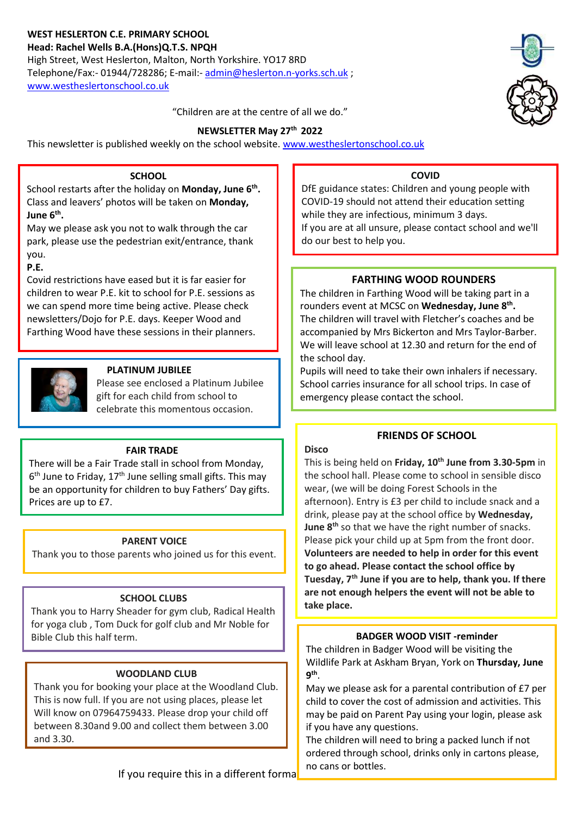# **WEST HESLERTON C.E. PRIMARY SCHOOL**

**Head: Rachel Wells B.A.(Hons)Q.T.S. NPQH** High Street, West Heslerton, Malton, North Yorkshire. YO17 8RD Telephone/Fax:- 01944/728286; E-mail:- [admin@heslerton.n-yorks.sch.uk](mailto:admin@heslerton.n-yorks.sch.uk) ; [www.westheslertonschool.co.uk](http://www.westheslertonschool.co.uk/)



"Children are at the centre of all we do."

# **NEWSLETTER May 27 th 2022**

This newsletter is published weekly on the school website. [www.westheslertonschool.co.uk](http://www.westheslertonschool.co.uk/)

### **SCHOOL**

School restarts after the holiday on **Monday, June 6th .** Class and leavers' photos will be taken on **Monday, June 6th .**

 you. May we please ask you not to walk through the car park, please use the pedestrian exit/entrance, thank

**P.E.**

Covid restrictions have eased but it is far easier for children to wear P.E. kit to school for P.E. sessions as we can spend more time being active. Please check newsletters/Dojo for P.E. days. Keeper Wood and Farthing Wood have these sessions in their planners.



# **PLATINUM JUBILEE**

Please see enclosed a Platinum Jubilee gift for each child from school to celebrate this momentous occasion.

#### **FAIR TRADE**

There will be a Fair Trade stall in school from Monday, 6<sup>th</sup> June to Friday, 17<sup>th</sup> June selling small gifts. This may be an opportunity for children to buy Fathers' Day gifts. Prices are up to £7.

# **PARENT VOICE**

Thank you to those parents who joined us for this event.

# **SCHOOL CLUBS**

Thank you to Harry Sheader for gym club, Radical Health for yoga club , Tom Duck for golf club and Mr Noble for Bible Club this half term.

# **WOODLAND CLUB**

Thank you for booking your place at the Woodland Club. This is now full. If you are not using places, please let Will know on 07964759433. Please drop your child off between 8.30and 9.00 and collect them between 3.00 and 3.30.

**COVID**

DfE guidance states: Children and young people with COVID-19 should not attend their education setting while they are infectious, minimum 3 days. If you are at all unsure, please contact school and we'll do our best to help you.

# **FARTHING WOOD ROUNDERS**

The children in Farthing Wood will be taking part in a rounders event at MCSC on **Wednesday, June 8th .** The children will travel with Fletcher's coaches and be accompanied by Mrs Bickerton and Mrs Taylor-Barber. We will leave school at 12.30 and return for the end of the school day.

Pupils will need to take their own inhalers if necessary. School carries insurance for all school trips. In case of emergency please contact the school.

# **FRIENDS OF SCHOOL**

#### **Disco**

This is being held on **Friday, 10 th June from 3.30-5pm** in the school hall. Please come to school in sensible disco wear, (we will be doing Forest Schools in the afternoon). Entry is £3 per child to include snack and a drink, please pay at the school office by **Wednesday, June 8th** so that we have the right number of snacks. Please pick your child up at 5pm from the front door. **Volunteers are needed to help in order for this event to go ahead. Please contact the school office by Tuesday, 7th June if you are to help, thank you. If there are not enough helpers the event will not be able to take place.**

# **BADGER WOOD VISIT -reminder**

The children in Badger Wood will be visiting the Wildlife Park at Askham Bryan, York on **Thursday, June 9 th** .

May we please ask for a parental contribution of £7 per child to cover the cost of admission and activities. This may be paid on Parent Pay using your login, please ask if you have any questions.

The children will need to bring a packed lunch if not ordered through school, drinks only in cartons please, no cans or bottles.

If you require this in a different format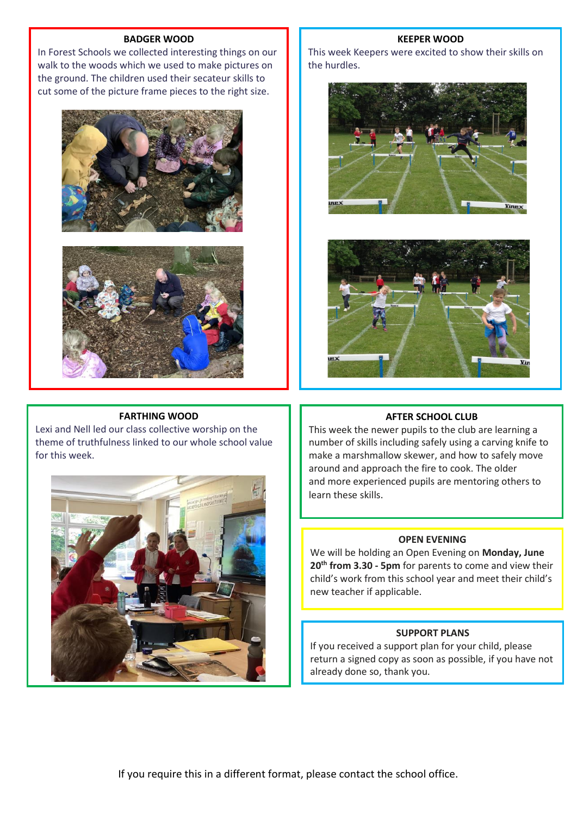#### **BADGER WOOD**

In Forest Schools we collected interesting things on our walk to the woods which we used to make pictures on the ground. The children used their secateur skills to cut some of the picture frame pieces to the right size.





#### **FARTHING WOOD**

Lexi and Nell led our class collective worship on the theme of truthfulness linked to our whole school value for this week.



#### **KEEPER WOOD**

This week Keepers were excited to show their skills on the hurdles.





#### **AFTER SCHOOL CLUB**

This week the newer pupils to the club are learning a number of skills including safely using a carving knife to make a marshmallow skewer, and how to safely move around and approach the fire to cook. The older and more experienced pupils are mentoring others to learn these skills.

#### **OPEN EVENING**

We will be holding an Open Evening on **Monday, June 20th from 3.30 - 5pm** for parents to come and view their child's work from this school year and meet their child's new teacher if applicable.

#### **SUPPORT PLANS**

If you received a support plan for your child, please return a signed copy as soon as possible, if you have not already done so, thank you.

If you require this in a different format, please contact the school office.